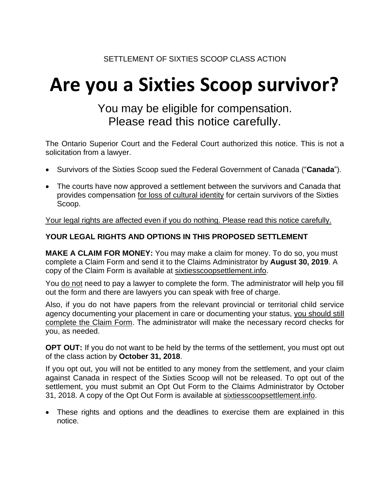# **Are you a Sixties Scoop survivor?**

# You may be eligible for compensation. Please read this notice carefully.

The Ontario Superior Court and the Federal Court authorized this notice. This is not a solicitation from a lawyer.

- Survivors of the Sixties Scoop sued the Federal Government of Canada ("**Canada**").
- The courts have now approved a settlement between the survivors and Canada that provides compensation for loss of cultural identity for certain survivors of the Sixties Scoop.

Your legal rights are affected even if you do nothing. Please read this notice carefully.

## **YOUR LEGAL RIGHTS AND OPTIONS IN THIS PROPOSED SETTLEMENT**

**MAKE A CLAIM FOR MONEY:** You may make a claim for money. To do so, you must complete a Claim Form and send it to the Claims Administrator by **August 30, 2019**. A copy of the Claim Form is available at sixtiesscoopsettlement.info.

You do not need to pay a lawyer to complete the form. The administrator will help you fill out the form and there are lawyers you can speak with free of charge.

Also, if you do not have papers from the relevant provincial or territorial child service agency documenting your placement in care or documenting your status, you should still complete the Claim Form. The administrator will make the necessary record checks for you, as needed.

**OPT OUT:** If you do not want to be held by the terms of the settlement, you must opt out of the class action by **October 31, 2018**.

If you opt out, you will not be entitled to any money from the settlement, and your claim against Canada in respect of the Sixties Scoop will not be released. To opt out of the settlement, you must submit an Opt Out Form to the Claims Administrator by October 31, 2018. A copy of the Opt Out Form is available at sixtiesscoopsettlement.info.

 These rights and options and the deadlines to exercise them are explained in this notice.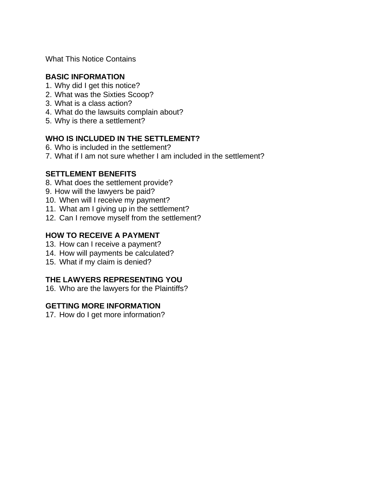What This Notice Contains

#### **BASIC INFORMATION**

- 1. Why did I get this notice?
- 2. What was the Sixties Scoop?
- 3. What is a class action?
- 4. What do the lawsuits complain about?
- 5. Why is there a settlement?

#### **WHO IS INCLUDED IN THE SETTLEMENT?**

- 6. Who is included in the settlement?
- 7. What if I am not sure whether I am included in the settlement?

#### **SETTLEMENT BENEFITS**

- 8. What does the settlement provide?
- 9. How will the lawyers be paid?
- 10. When will I receive my payment?
- 11. What am I giving up in the settlement?
- 12. Can I remove myself from the settlement?

#### **HOW TO RECEIVE A PAYMENT**

- 13. How can I receive a payment?
- 14. How will payments be calculated?
- 15. What if my claim is denied?

#### **THE LAWYERS REPRESENTING YOU**

16. Who are the lawyers for the Plaintiffs?

#### **GETTING MORE INFORMATION**

17. How do I get more information?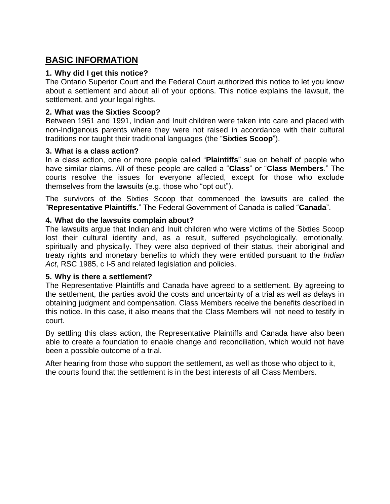# **BASIC INFORMATION**

#### **1. Why did I get this notice?**

The Ontario Superior Court and the Federal Court authorized this notice to let you know about a settlement and about all of your options. This notice explains the lawsuit, the settlement, and your legal rights.

#### **2. What was the Sixties Scoop?**

Between 1951 and 1991, Indian and Inuit children were taken into care and placed with non-Indigenous parents where they were not raised in accordance with their cultural traditions nor taught their traditional languages (the "**Sixties Scoop**").

#### **3. What is a class action?**

In a class action, one or more people called "**Plaintiffs**" sue on behalf of people who have similar claims. All of these people are called a "**Class**" or "**Class Members**." The courts resolve the issues for everyone affected, except for those who exclude themselves from the lawsuits (e.g. those who "opt out").

The survivors of the Sixties Scoop that commenced the lawsuits are called the "**Representative Plaintiffs**." The Federal Government of Canada is called "**Canada**".

#### **4. What do the lawsuits complain about?**

The lawsuits argue that Indian and Inuit children who were victims of the Sixties Scoop lost their cultural identity and, as a result, suffered psychologically, emotionally, spiritually and physically. They were also deprived of their status, their aboriginal and treaty rights and monetary benefits to which they were entitled pursuant to the *Indian Act*, RSC 1985, c I-5 and related legislation and policies.

#### **5. Why is there a settlement?**

The Representative Plaintiffs and Canada have agreed to a settlement. By agreeing to the settlement, the parties avoid the costs and uncertainty of a trial as well as delays in obtaining judgment and compensation. Class Members receive the benefits described in this notice. In this case, it also means that the Class Members will not need to testify in court.

By settling this class action, the Representative Plaintiffs and Canada have also been able to create a foundation to enable change and reconciliation, which would not have been a possible outcome of a trial.

After hearing from those who support the settlement, as well as those who object to it, the courts found that the settlement is in the best interests of all Class Members.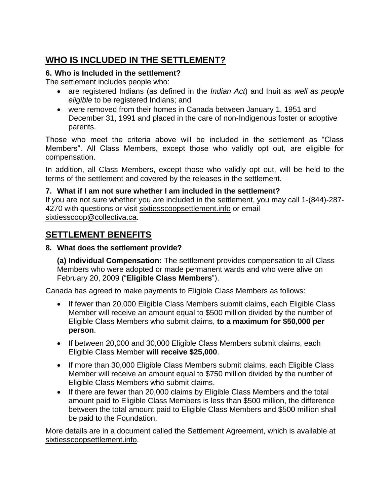# **WHO IS INCLUDED IN THE SETTLEMENT?**

#### **6. Who is Included in the settlement?**

The settlement includes people who:

- are registered Indians (as defined in the *Indian Act*) and Inuit *as well as people eligible* to be registered Indians; and
- were removed from their homes in Canada between January 1, 1951 and December 31, 1991 and placed in the care of non-Indigenous foster or adoptive parents.

Those who meet the criteria above will be included in the settlement as "Class Members". All Class Members, except those who validly opt out, are eligible for compensation.

In addition, all Class Members, except those who validly opt out, will be held to the terms of the settlement and covered by the releases in the settlement.

#### **7. What if I am not sure whether I am included in the settlement?**

If you are not sure whether you are included in the settlement, you may call 1-(844)-287- 4270 with questions or visit sixtiesscoopsettlement.info or email [sixtiesscoop@collectiva.ca.](mailto:sixtiesscoop@collectiva.ca)

# **SETTLEMENT BENEFITS**

#### **8. What does the settlement provide?**

**(a) Individual Compensation:** The settlement provides compensation to all Class Members who were adopted or made permanent wards and who were alive on February 20, 2009 ("**Eligible Class Members**").

Canada has agreed to make payments to Eligible Class Members as follows:

- If fewer than 20,000 Eligible Class Members submit claims, each Eligible Class Member will receive an amount equal to \$500 million divided by the number of Eligible Class Members who submit claims, **to a maximum for \$50,000 per person**.
- If between 20,000 and 30,000 Eligible Class Members submit claims, each Eligible Class Member **will receive \$25,000**.
- If more than 30,000 Eligible Class Members submit claims, each Eligible Class Member will receive an amount equal to \$750 million divided by the number of Eligible Class Members who submit claims.
- If there are fewer than 20,000 claims by Eligible Class Members and the total amount paid to Eligible Class Members is less than \$500 million, the difference between the total amount paid to Eligible Class Members and \$500 million shall be paid to the Foundation.

More details are in a document called the Settlement Agreement, which is available at sixtiesscoopsettlement.info.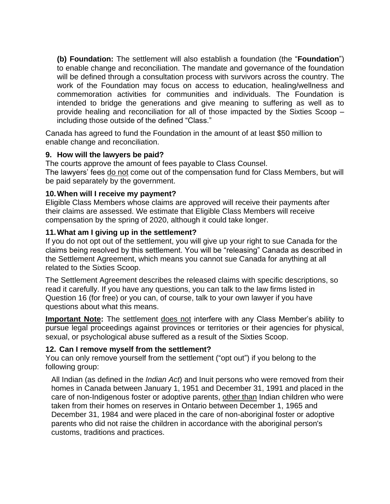**(b) Foundation:** The settlement will also establish a foundation (the "**Foundation**") to enable change and reconciliation. The mandate and governance of the foundation will be defined through a consultation process with survivors across the country. The work of the Foundation may focus on access to education, healing/wellness and commemoration activities for communities and individuals. The Foundation is intended to bridge the generations and give meaning to suffering as well as to provide healing and reconciliation for all of those impacted by the Sixties Scoop – including those outside of the defined "Class."

Canada has agreed to fund the Foundation in the amount of at least \$50 million to enable change and reconciliation.

#### **9. How will the lawyers be paid?**

The courts approve the amount of fees payable to Class Counsel. The lawyers' fees do not come out of the compensation fund for Class Members, but will be paid separately by the government.

#### **10.When will I receive my payment?**

Eligible Class Members whose claims are approved will receive their payments after their claims are assessed. We estimate that Eligible Class Members will receive compensation by the spring of 2020, although it could take longer.

#### **11.What am I giving up in the settlement?**

If you do not opt out of the settlement, you will give up your right to sue Canada for the claims being resolved by this settlement. You will be "releasing" Canada as described in the Settlement Agreement, which means you cannot sue Canada for anything at all related to the Sixties Scoop.

The Settlement Agreement describes the released claims with specific descriptions, so read it carefully. If you have any questions, you can talk to the law firms listed in Question 16 (for free) or you can, of course, talk to your own lawyer if you have questions about what this means.

**Important Note:** The settlement does not interfere with any Class Member's ability to pursue legal proceedings against provinces or territories or their agencies for physical, sexual, or psychological abuse suffered as a result of the Sixties Scoop.

#### **12. Can I remove myself from the settlement?**

You can only remove yourself from the settlement ("opt out") if you belong to the following group:

All Indian (as defined in the *Indian Act*) and Inuit persons who were removed from their homes in Canada between January 1, 1951 and December 31, 1991 and placed in the care of non-Indigenous foster or adoptive parents, other than Indian children who were taken from their homes on reserves in Ontario between December 1, 1965 and December 31, 1984 and were placed in the care of non-aboriginal foster or adoptive parents who did not raise the children in accordance with the aboriginal person's customs, traditions and practices.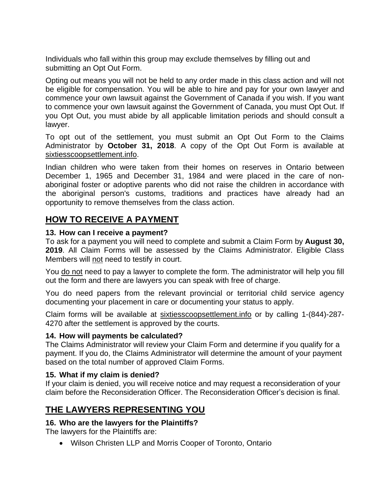Individuals who fall within this group may exclude themselves by filling out and submitting an Opt Out Form.

Opting out means you will not be held to any order made in this class action and will not be eligible for compensation. You will be able to hire and pay for your own lawyer and commence your own lawsuit against the Government of Canada if you wish. If you want to commence your own lawsuit against the Government of Canada, you must Opt Out. If you Opt Out, you must abide by all applicable limitation periods and should consult a lawyer.

To opt out of the settlement, you must submit an Opt Out Form to the Claims Administrator by **October 31, 2018**. A copy of the Opt Out Form is available at sixtiesscoopsettlement.info.

Indian children who were taken from their homes on reserves in Ontario between December 1, 1965 and December 31, 1984 and were placed in the care of nonaboriginal foster or adoptive parents who did not raise the children in accordance with the aboriginal person's customs, traditions and practices have already had an opportunity to remove themselves from the class action.

# **HOW TO RECEIVE A PAYMENT**

#### **13. How can I receive a payment?**

To ask for a payment you will need to complete and submit a Claim Form by **August 30, 2019**. All Claim Forms will be assessed by the Claims Administrator. Eligible Class Members will not need to testify in court.

You do not need to pay a lawyer to complete the form. The administrator will help you fill out the form and there are lawyers you can speak with free of charge.

You do need papers from the relevant provincial or territorial child service agency documenting your placement in care or documenting your status to apply.

Claim forms will be available at sixtiesscoopsettlement.info or by calling 1-(844)-287-4270 after the settlement is approved by the courts.

#### **14. How will payments be calculated?**

The Claims Administrator will review your Claim Form and determine if you qualify for a payment. If you do, the Claims Administrator will determine the amount of your payment based on the total number of approved Claim Forms.

#### **15. What if my claim is denied?**

If your claim is denied, you will receive notice and may request a reconsideration of your claim before the Reconsideration Officer. The Reconsideration Officer's decision is final.

## **THE LAWYERS REPRESENTING YOU**

#### **16. Who are the lawyers for the Plaintiffs?**

The lawyers for the Plaintiffs are:

Wilson Christen LLP and Morris Cooper of Toronto, Ontario